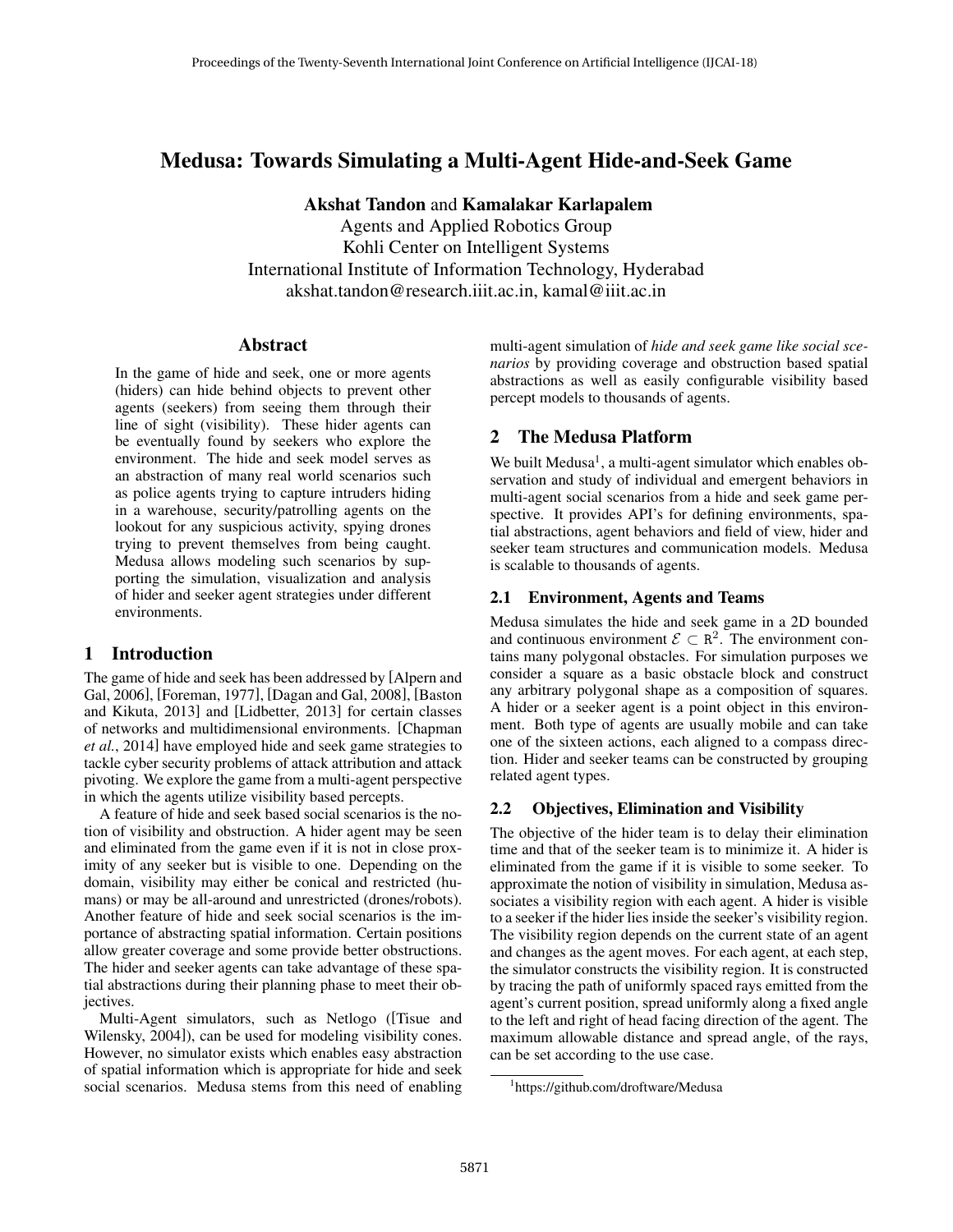# Medusa: Towards Simulating a Multi-Agent Hide-and-Seek Game

Akshat Tandon and Kamalakar Karlapalem

Agents and Applied Robotics Group Kohli Center on Intelligent Systems International Institute of Information Technology, Hyderabad akshat.tandon@research.iiit.ac.in, kamal@iiit.ac.in

### Abstract

In the game of hide and seek, one or more agents (hiders) can hide behind objects to prevent other agents (seekers) from seeing them through their line of sight (visibility). These hider agents can be eventually found by seekers who explore the environment. The hide and seek model serves as an abstraction of many real world scenarios such as police agents trying to capture intruders hiding in a warehouse, security/patrolling agents on the lookout for any suspicious activity, spying drones trying to prevent themselves from being caught. Medusa allows modeling such scenarios by supporting the simulation, visualization and analysis of hider and seeker agent strategies under different environments.

### 1 Introduction

The game of hide and seek has been addressed by [Alpern and Gal, 2006], [Foreman, 1977], [Dagan and Gal, 2008], [Baston and Kikuta, 2013] and [Lidbetter, 2013] for certain classes of networks and multidimensional environments. [Chapman *et al.*, 2014] have employed hide and seek game strategies to tackle cyber security problems of attack attribution and attack pivoting. We explore the game from a multi-agent perspective in which the agents utilize visibility based percepts.

A feature of hide and seek based social scenarios is the notion of visibility and obstruction. A hider agent may be seen and eliminated from the game even if it is not in close proximity of any seeker but is visible to one. Depending on the domain, visibility may either be conical and restricted (humans) or may be all-around and unrestricted (drones/robots). Another feature of hide and seek social scenarios is the importance of abstracting spatial information. Certain positions allow greater coverage and some provide better obstructions. The hider and seeker agents can take advantage of these spatial abstractions during their planning phase to meet their objectives.

Multi-Agent simulators, such as Netlogo ([Tisue and Wilensky, 2004]), can be used for modeling visibility cones. However, no simulator exists which enables easy abstraction of spatial information which is appropriate for hide and seek social scenarios. Medusa stems from this need of enabling

multi-agent simulation of *hide and seek game like social scenarios* by providing coverage and obstruction based spatial abstractions as well as easily configurable visibility based percept models to thousands of agents.

# 2 The Medusa Platform

We built Medusa<sup>1</sup>, a multi-agent simulator which enables observation and study of individual and emergent behaviors in multi-agent social scenarios from a hide and seek game perspective. It provides API's for defining environments, spatial abstractions, agent behaviors and field of view, hider and seeker team structures and communication models. Medusa is scalable to thousands of agents.

# 2.1 Environment, Agents and Teams

Medusa simulates the hide and seek game in a 2D bounded and continuous environment  $\mathcal{E} \subset \mathbb{R}^2$ . The environment contains many polygonal obstacles. For simulation purposes we consider a square as a basic obstacle block and construct any arbitrary polygonal shape as a composition of squares. A hider or a seeker agent is a point object in this environment. Both type of agents are usually mobile and can take one of the sixteen actions, each aligned to a compass direction. Hider and seeker teams can be constructed by grouping related agent types.

# 2.2 Objectives, Elimination and Visibility

The objective of the hider team is to delay their elimination time and that of the seeker team is to minimize it. A hider is eliminated from the game if it is visible to some seeker. To approximate the notion of visibility in simulation, Medusa associates a visibility region with each agent. A hider is visible to a seeker if the hider lies inside the seeker's visibility region. The visibility region depends on the current state of an agent and changes as the agent moves. For each agent, at each step, the simulator constructs the visibility region. It is constructed by tracing the path of uniformly spaced rays emitted from the agent's current position, spread uniformly along a fixed angle to the left and right of head facing direction of the agent. The maximum allowable distance and spread angle, of the rays, can be set according to the use case.

<sup>1</sup> https://github.com/droftware/Medusa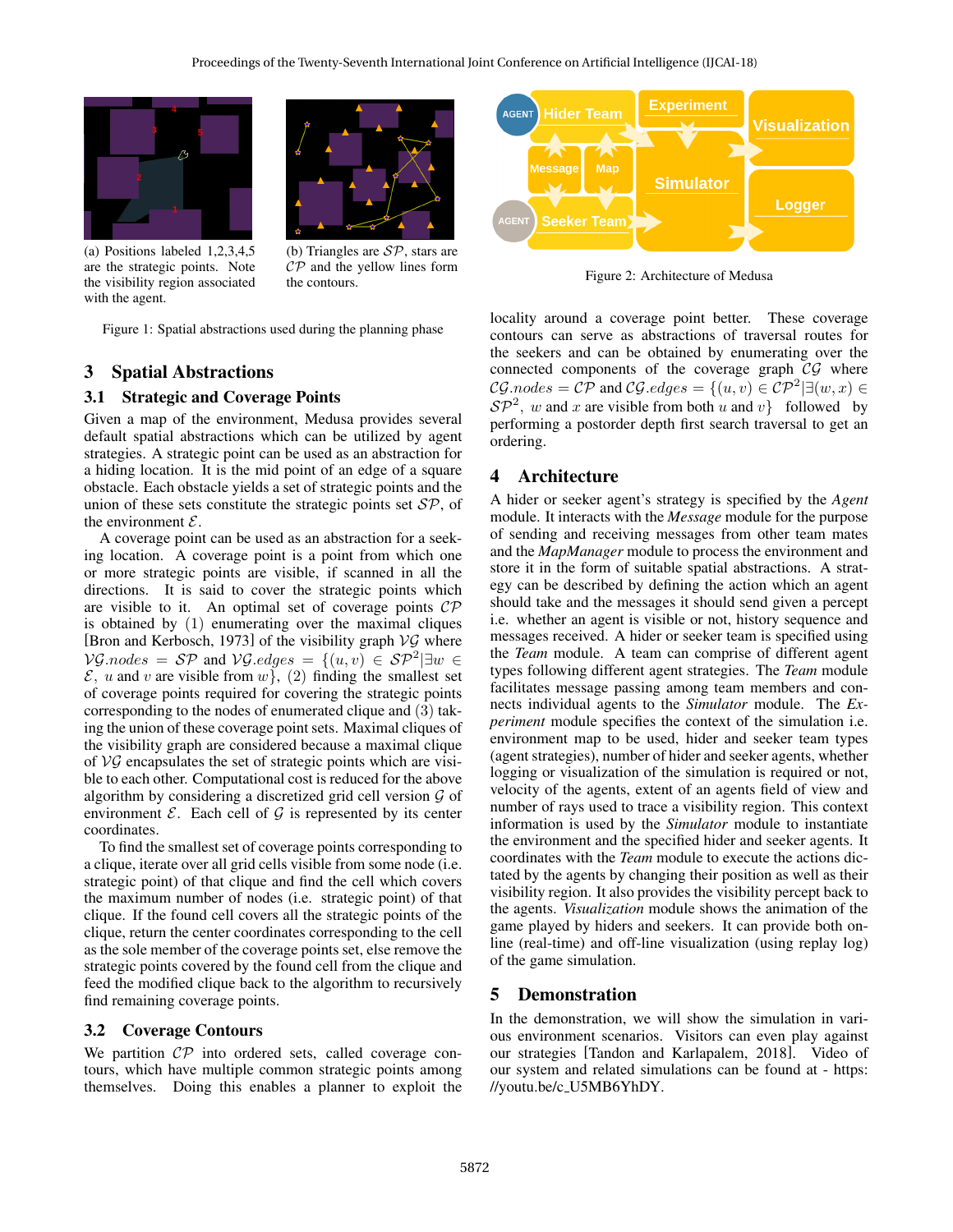



(a) Positions labeled 1,2,3,4,5 are the strategic points. Note the visibility region associated with the agent.

(b) Triangles are  $SP$ , stars are  $\mathcal{CP}$  and the yellow lines form the contours.

Figure 1: Spatial abstractions used during the planning phase

#### 3 Spatial Abstractions

#### 3.1 Strategic and Coverage Points

Given a map of the environment, Medusa provides several default spatial abstractions which can be utilized by agent strategies. A strategic point can be used as an abstraction for a hiding location. It is the mid point of an edge of a square obstacle. Each obstacle yields a set of strategic points and the union of these sets constitute the strategic points set  $\mathcal{SP}$ , of the environment  $\mathcal{E}$ .

A coverage point can be used as an abstraction for a seeking location. A coverage point is a point from which one or more strategic points are visible, if scanned in all the directions. It is said to cover the strategic points which are visible to it. An optimal set of coverage points  $\mathcal{CP}$ is obtained by (1) enumerating over the maximal cliques [Bron and Kerbosch, 1973] of the visibility graph  $\mathcal{V} \mathcal{G}$  where  $\mathcal{VG}.\nnodes = \mathcal{SP}$  and  $\mathcal{VG}.\nedges = \{(u, v) \in \mathcal{SP}^2 | \exists w \in \mathcal{SP}^2 \}$  $\mathcal{E}$ , u and v are visible from w, (2) finding the smallest set of coverage points required for covering the strategic points corresponding to the nodes of enumerated clique and (3) taking the union of these coverage point sets. Maximal cliques of the visibility graph are considered because a maximal clique of  $\mathcal{VG}$  encapsulates the set of strategic points which are visible to each other. Computational cost is reduced for the above algorithm by considering a discretized grid cell version  $\mathcal G$  of environment  $\mathcal{E}$ . Each cell of  $\mathcal{G}$  is represented by its center coordinates.

To find the smallest set of coverage points corresponding to a clique, iterate over all grid cells visible from some node (i.e. strategic point) of that clique and find the cell which covers the maximum number of nodes (i.e. strategic point) of that clique. If the found cell covers all the strategic points of the clique, return the center coordinates corresponding to the cell as the sole member of the coverage points set, else remove the strategic points covered by the found cell from the clique and feed the modified clique back to the algorithm to recursively find remaining coverage points.

#### 3.2 Coverage Contours

We partition  $\mathcal{CP}$  into ordered sets, called coverage contours, which have multiple common strategic points among themselves. Doing this enables a planner to exploit the



Figure 2: Architecture of Medusa

locality around a coverage point better. These coverage contours can serve as abstractions of traversal routes for the seekers and can be obtained by enumerating over the connected components of the coverage graph  $\mathcal{CG}$  where  $\mathcal{CG}.\textit{nodes} = \mathcal{CP}$  and  $\mathcal{CG}.\textit{edges} = \{(u, v) \in \mathcal{CP}^2 | \exists (w, x) \in \mathcal{CP}^2 \}$  $\mathcal{SP}^2$ , w and x are visible from both u and v} followed by performing a postorder depth first search traversal to get an ordering.

#### 4 Architecture

A hider or seeker agent's strategy is specified by the *Agent* module. It interacts with the *Message* module for the purpose of sending and receiving messages from other team mates and the *MapManager* module to process the environment and store it in the form of suitable spatial abstractions. A strategy can be described by defining the action which an agent should take and the messages it should send given a percept i.e. whether an agent is visible or not, history sequence and messages received. A hider or seeker team is specified using the *Team* module. A team can comprise of different agent types following different agent strategies. The *Team* module facilitates message passing among team members and connects individual agents to the *Simulator* module. The *Experiment* module specifies the context of the simulation i.e. environment map to be used, hider and seeker team types (agent strategies), number of hider and seeker agents, whether logging or visualization of the simulation is required or not, velocity of the agents, extent of an agents field of view and number of rays used to trace a visibility region. This context information is used by the *Simulator* module to instantiate the environment and the specified hider and seeker agents. It coordinates with the *Team* module to execute the actions dictated by the agents by changing their position as well as their visibility region. It also provides the visibility percept back to the agents. *Visualization* module shows the animation of the game played by hiders and seekers. It can provide both online (real-time) and off-line visualization (using replay log) of the game simulation.

#### 5 Demonstration

In the demonstration, we will show the simulation in various environment scenarios. Visitors can even play against our strategies [Tandon and Karlapalem, 2018]. Video of our system and related simulations can be found at - https: //youtu.be/c U5MB6YhDY.